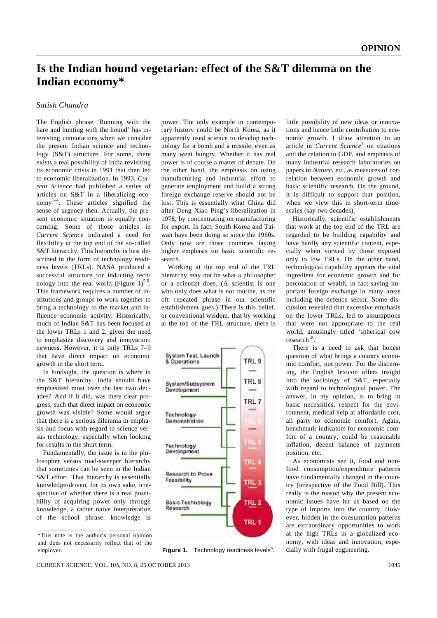## **Is the Indian hound vegetarian: effect of the S&T dilemma on the Indian economy\***

## *Satish Chandra*

The English phrase 'Running with the hare and hunting with the hound' has interesting connotations when we consider the present Indian science and technology (S&T) structure. For some, there exists a real possibility of India revisiting its economic crisis in 1991 that then led to economic liberalization. In 1993, *Current Science* had published a series of articles on S&T in a liberalizing economy $1-4$ . These articles signified the sense of urgency then. Actually, the present economic situation is equally concerning. Some of those articles in *Current Science* indicated a need for flexibility at the top end of the so-called S&T hierarchy. This hierarchy is best described in the form of technology readiness levels (TRLs). NASA produced a successful structure for inducting technology into the real world (Figure  $1$ )<sup>5,6</sup>. This framework requires a number of institutions and groups to work together to bring a technology to the market and influence economic activity. Historically, much of Indian S&T has been focused at the lower TRLs 1 and 2, given the need to emphasize discovery and innovation: newness. However, it is only TRLs 7–9 that have direct impact on economic growth in the short term.

 In hindsight, the question is where in the S&T hierarchy, India should have emphasized most over the last two decades? And if it did, was there clear progress, such that direct impact on economic growth was visible? Some would argue that there is a serious dilemma in emphasis and focus with regard to science versus technology, especially when looking for results in the short term.

 Fundamentally, the issue is in the philosopher versus road-sweeper hierarchy that sometimes can be seen in the Indian S&T effort. That hierarchy is essentially knowledge-driven, for its own sake, irrespective of whether there is a real possibility of acquiring power only through knowledge, a rather naive interpretation of the school phrase: knowledge is power. The only example in contemporary history could be North Korea, as it apparently used science to develop technology for a bomb and a missile, even as many went hungry. Whether it has real power is of course a matter of debate. On the other hand, the emphasis on using manufacturing and industrial effort to generate employment and build a strong foreign exchange reserve should not be lost. This is essentially what China did after Deng Xiao Ping's liberalization in 1978, by concentrating on manufacturing for export. In fact, South Korea and Taiwan have been doing so since the 1960s. Only now are those countries laying higher emphasis on basic scientific research.

 Working at the top end of the TRL hierarchy may not be what a philosopher or a scientist does. (A scientist is one who only does what is not routine, as the oft repeated phrase in our scientific establishment goes.) There is this belief, or conventional wisdom, that by working at the top of the TRL structure, there is



Figure 1. Technology readiness levels<sup>5</sup>.

little possibility of new ideas or innovations and hence little contribution to economic growth. I draw attention to an article in *Current Science*<sup>7</sup> on citations and the relation to GDP, and emphasis of many industrial research laboratories on papers in *Nature*, etc. as measures of correlation between economic growth and basic scientific research. On the ground, it is difficult to support that position, when we view this in short-term timescales (say two decades).

 Historically, scientific establishments that work at the top end of the TRL are regarded to be building capability and have hardly any scientific content, especially when viewed by those exposed only to low TRLs. On the other hand, technological capability appears the vital ingredient for economic growth and for percolation of wealth, in fact saving important foreign exchange in many areas including the defence sector. Some discussion revealed that excessive emphasis on the lower TRLs, led to assumptions that were not appropriate to the real world, amusingly titled 'spherical cow research'<sup>8</sup> .

 There is a need to ask that honest question of what brings a country economic comfort, not power. For the discerning, the English lexicon offers insight into the sociology of S&T, especially with regard to technological power. The answer, in my opinion, is to bring in basic necessities, respect for the environment, medical help at affordable cost, all party to economic comfort. Again, benchmark indicators for economic comfort of a country, could be reasonable inflation, decent balance of payments position, etc.

 As economists see it, food and nonfood consumption/expenditure patterns have fundamentally changed in the country (irrespective of the Food Bill). This really is the reason why the present economic issues have hit us based on the type of imports into the country. However, hidden in the consumption patterns are extraordinary opportunities to work at the high TRLs in a globalized economy, with ideas and innovation, especially with frugal engineering.

<sup>\*</sup>This note is the author's personal opinion and does not necessarily reflect that of the employer.